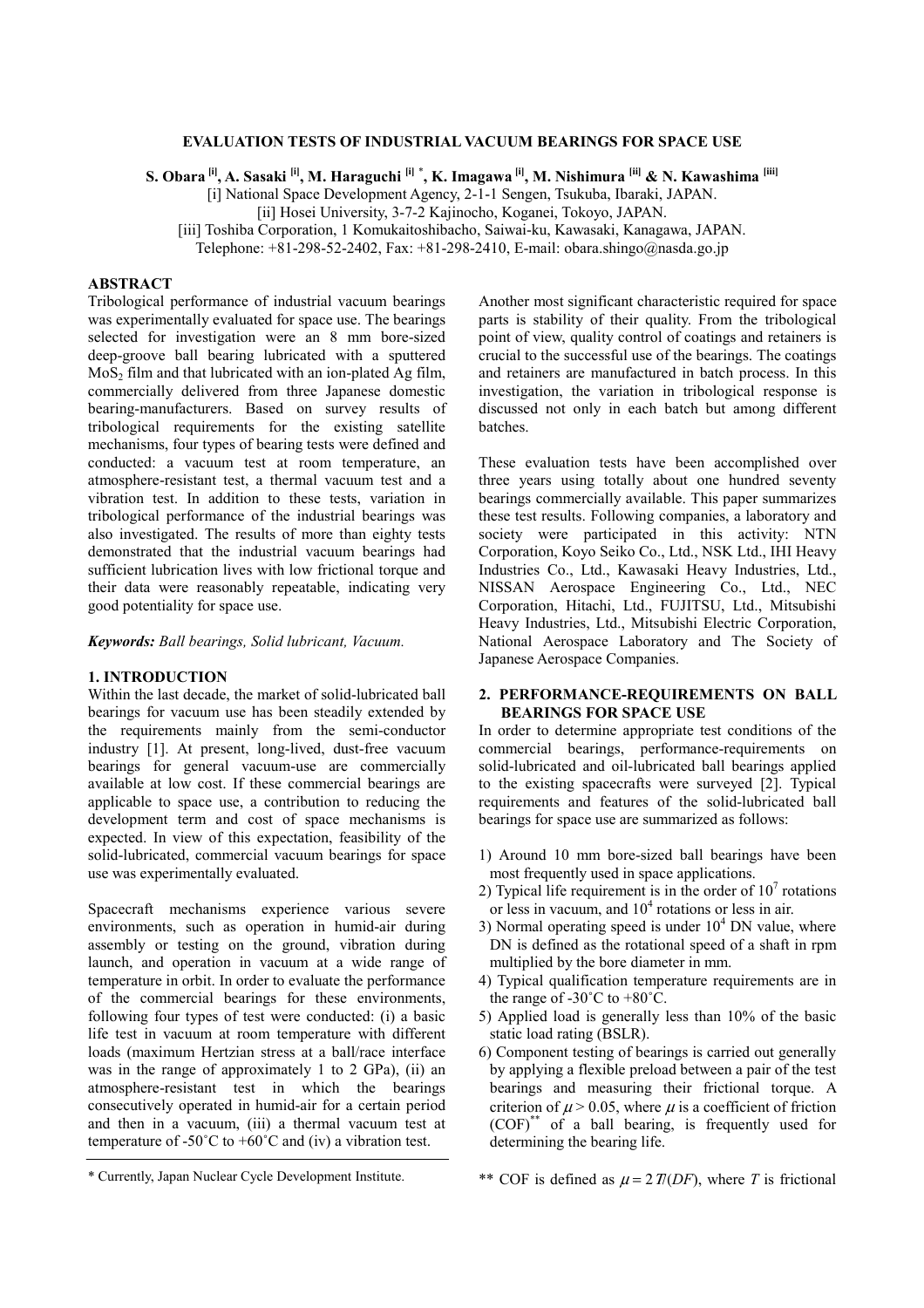## **EVALUATION TESTS OF INDUSTRIAL VACUUM BEARINGS FOR SPACE USE**

**S. Obara [i], A. Sasaki [i], M. Haraguchi [i]** \* **, K. Imagawa [i], M. Nishimura [ii] & N. Kawashima [iii]**

[i] National Space Development Agency, 2-1-1 Sengen, Tsukuba, Ibaraki, JAPAN.

[ii] Hosei University, 3-7-2 Kajinocho, Koganei, Tokoyo, JAPAN.

[iii] Toshiba Corporation, 1 Komukaitoshibacho, Saiwai-ku, Kawasaki, Kanagawa, JAPAN.

Telephone: +81-298-52-2402, Fax: +81-298-2410, E-mail: obara.shingo@nasda.go.jp

# **ABSTRACT**

Tribological performance of industrial vacuum bearings was experimentally evaluated for space use. The bearings selected for investigation were an 8 mm bore-sized deep-groove ball bearing lubricated with a sputtered  $MoS<sub>2</sub>$  film and that lubricated with an ion-plated Ag film, commercially delivered from three Japanese domestic bearing-manufacturers. Based on survey results of tribological requirements for the existing satellite mechanisms, four types of bearing tests were defined and conducted: a vacuum test at room temperature, an atmosphere-resistant test, a thermal vacuum test and a vibration test. In addition to these tests, variation in tribological performance of the industrial bearings was also investigated. The results of more than eighty tests demonstrated that the industrial vacuum bearings had sufficient lubrication lives with low frictional torque and their data were reasonably repeatable, indicating very good potentiality for space use.

*Keywords: Ball bearings, Solid lubricant, Vacuum.* 

## **1. INTRODUCTION**

Within the last decade, the market of solid-lubricated ball bearings for vacuum use has been steadily extended by the requirements mainly from the semi-conductor industry [1]. At present, long-lived, dust-free vacuum bearings for general vacuum-use are commercially available at low cost. If these commercial bearings are applicable to space use, a contribution to reducing the development term and cost of space mechanisms is expected. In view of this expectation, feasibility of the solid-lubricated, commercial vacuum bearings for space use was experimentally evaluated.

Spacecraft mechanisms experience various severe environments, such as operation in humid-air during assembly or testing on the ground, vibration during launch, and operation in vacuum at a wide range of temperature in orbit. In order to evaluate the performance of the commercial bearings for these environments, following four types of test were conducted: (i) a basic life test in vacuum at room temperature with different loads (maximum Hertzian stress at a ball/race interface was in the range of approximately 1 to 2 GPa), (ii) an atmosphere-resistant test in which the bearings consecutively operated in humid-air for a certain period and then in a vacuum, (iii) a thermal vacuum test at temperature of -50 $^{\circ}$ C to +60 $^{\circ}$ C and (iv) a vibration test.

These evaluation tests have been accomplished over three years using totally about one hundred seventy bearings commercially available. This paper summarizes these test results. Following companies, a laboratory and society were participated in this activity: NTN Corporation, Koyo Seiko Co., Ltd., NSK Ltd., IHI Heavy Industries Co., Ltd., Kawasaki Heavy Industries, Ltd., NISSAN Aerospace Engineering Co., Ltd., NEC Corporation, Hitachi, Ltd., FUJITSU, Ltd., Mitsubishi Heavy Industries, Ltd., Mitsubishi Electric Corporation, National Aerospace Laboratory and The Society of Japanese Aerospace Companies.

# **2. PERFORMANCE-REQUIREMENTS ON BALL BEARINGS FOR SPACE USE**

In order to determine appropriate test conditions of the commercial bearings, performance-requirements on solid-lubricated and oil-lubricated ball bearings applied to the existing spacecrafts were surveyed [2]. Typical requirements and features of the solid-lubricated ball bearings for space use are summarized as follows:

- 1) Around 10 mm bore-sized ball bearings have been most frequently used in space applications.
- 2) Typical life requirement is in the order of  $10<sup>7</sup>$  rotations or less in vacuum, and  $10<sup>4</sup>$  rotations or less in air.
- 3) Normal operating speed is under  $10<sup>4</sup>$  DN value, where DN is defined as the rotational speed of a shaft in rpm multiplied by the bore diameter in mm.
- 4) Typical qualification temperature requirements are in the range of  $-30^{\circ}$ C to  $+80^{\circ}$ C.
- 5) Applied load is generally less than 10% of the basic static load rating (BSLR).
- 6) Component testing of bearings is carried out generally by applying a flexible preload between a pair of the test bearings and measuring their frictional torque. A criterion of  $\mu$  > 0.05, where  $\mu$  is a coefficient of friction (COF)\*\* of a ball bearing, is frequently used for determining the bearing life.

Another most significant characteristic required for space parts is stability of their quality. From the tribological point of view, quality control of coatings and retainers is crucial to the successful use of the bearings. The coatings and retainers are manufactured in batch process. In this investigation, the variation in tribological response is discussed not only in each batch but among different batches.

<sup>\*</sup> Currently, Japan Nuclear Cycle Development Institute.

<sup>\*\*</sup> COF is defined as  $\mu = 2T(DF)$ , where *T* is frictional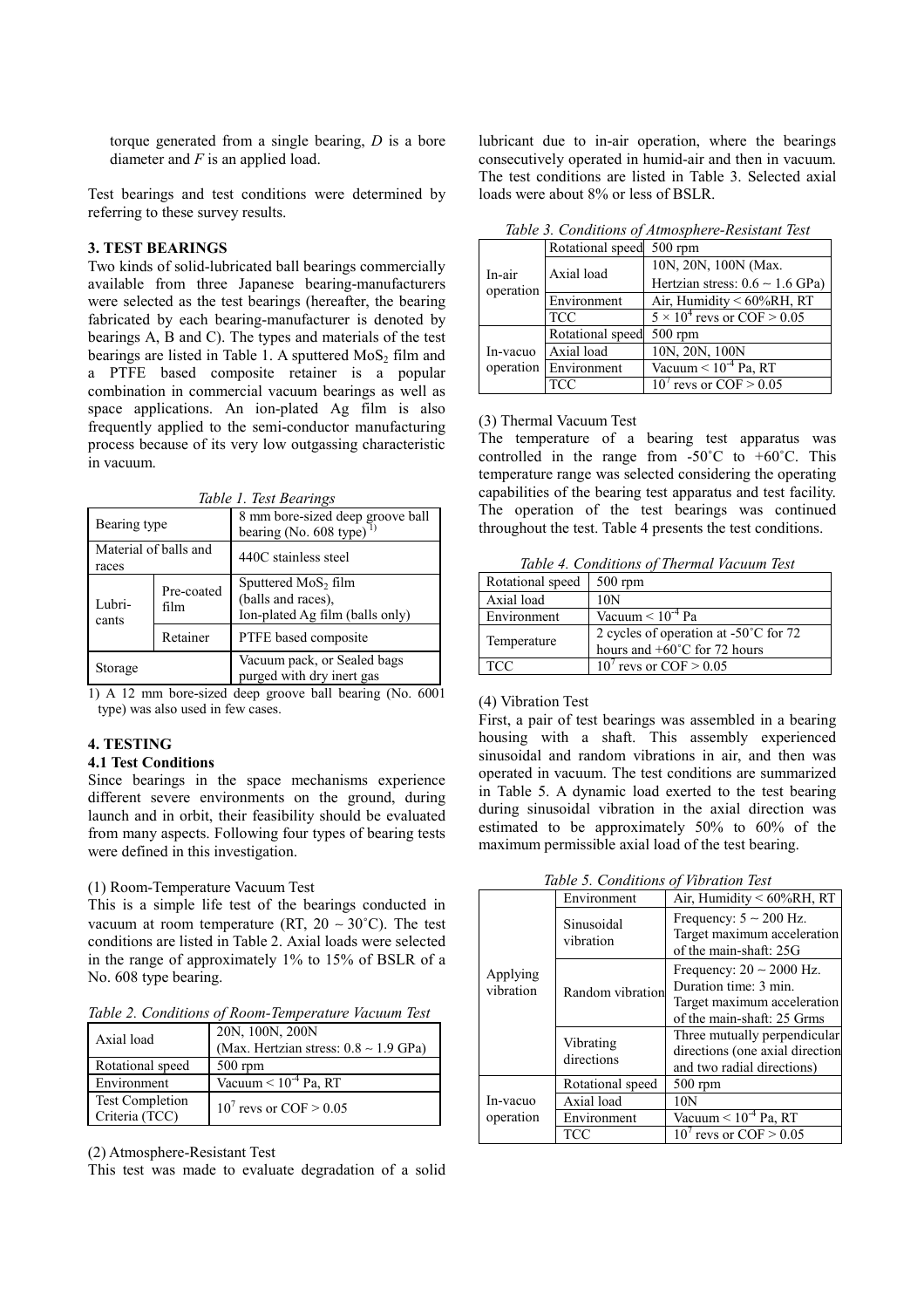torque generated from a single bearing, *D* is a bore diameter and *F* is an applied load.

Test bearings and test conditions were determined by referring to these survey results.

# **3. TEST BEARINGS**

Two kinds of solid-lubricated ball bearings commercially available from three Japanese bearing-manufacturers were selected as the test bearings (hereafter, the bearing fabricated by each bearing-manufacturer is denoted by bearings A, B and C). The types and materials of the test bearings are listed in Table 1. A sputtered  $MoS<sub>2</sub>$  film and a PTFE based composite retainer is a popular combination in commercial vacuum bearings as well as space applications. An ion-plated Ag film is also frequently applied to the semi-conductor manufacturing process because of its very low outgassing characteristic in vacuum.

*Table 1. Test Bearings* 

| Bearing type                   |                    | 8 mm bore-sized deep groove ball<br>bearing (No. $608$ type) <sup>1)</sup>               |  |  |
|--------------------------------|--------------------|------------------------------------------------------------------------------------------|--|--|
| Material of balls and<br>races |                    | 440C stainless steel                                                                     |  |  |
| Lubri-<br>cants                | Pre-coated<br>film | Sputtered MoS <sub>2</sub> film<br>(balls and races),<br>Ion-plated Ag film (balls only) |  |  |
|                                | Retainer           | PTFE based composite                                                                     |  |  |
| Storage                        |                    | Vacuum pack, or Sealed bags<br>purged with dry inert gas                                 |  |  |

1) A 12 mm bore-sized deep groove ball bearing (No. 6001 type) was also used in few cases.

## **4. TESTING**

### **4.1 Test Conditions**

Since bearings in the space mechanisms experience different severe environments on the ground, during launch and in orbit, their feasibility should be evaluated from many aspects. Following four types of bearing tests were defined in this investigation.

#### (1) Room-Temperature Vacuum Test

This is a simple life test of the bearings conducted in vacuum at room temperature (RT, 20 ~ 30°C). The test conditions are listed in Table 2. Axial loads were selected in the range of approximately 1% to 15% of BSLR of a No. 608 type bearing.

*Table 2. Conditions of Room-Temperature Vacuum Test* 

| Axial load                               | 20N, 100N, 200N<br>(Max. Hertzian stress: $0.8 \sim 1.9$ GPa) |  |
|------------------------------------------|---------------------------------------------------------------|--|
| Rotational speed                         | $500$ rpm                                                     |  |
| Environment                              | Vacuum $< 10^{-4}$ Pa, RT                                     |  |
| <b>Test Completion</b><br>Criteria (TCC) | $10^7$ revs or COF $> 0.05$                                   |  |

(2) Atmosphere-Resistant Test

This test was made to evaluate degradation of a solid

lubricant due to in-air operation, where the bearings consecutively operated in humid-air and then in vacuum. The test conditions are listed in Table 3. Selected axial loads were about 8% or less of BSLR.

| Tuble 5. Conditions of Almosphere-Resistant Test |                          |                                      |  |
|--------------------------------------------------|--------------------------|--------------------------------------|--|
| In-air<br>operation                              | Rotational speed 500 rpm |                                      |  |
|                                                  | Axial load               | 10N, 20N, 100N (Max.                 |  |
|                                                  |                          | Hertzian stress: $0.6 \sim 1.6$ GPa) |  |
|                                                  | Environment              | Air, Humidity < $60\%RH$ , RT        |  |
|                                                  | <b>TCC</b>               | $5 \times 10^4$ revs or COF > 0.05   |  |
|                                                  | Rotational speed         | $500$ rpm                            |  |
| In-vacuo                                         | Axial load               | 10N, 20N, 100N                       |  |
|                                                  | operation Environment    | Vacuum $\leq 10^{-4}$ Pa, RT         |  |
|                                                  | TCC                      | $10^7$ revs or COF $\geq 0.05$       |  |

*Table 3. Conditions of Atmosphere-Resistant Test* 

### (3) Thermal Vacuum Test

The temperature of a bearing test apparatus was controlled in the range from  $-50^{\circ}$ C to  $+60^{\circ}$ C. This temperature range was selected considering the operating capabilities of the bearing test apparatus and test facility. The operation of the test bearings was continued throughout the test. Table 4 presents the test conditions.

*Table 4. Conditions of Thermal Vacuum Test* 

| Rotational speed | $500$ rpm                                                                                 |  |
|------------------|-------------------------------------------------------------------------------------------|--|
| Axial load       | 10N                                                                                       |  |
| Environment      | Vacuum $\leq 10^{-4}$ Pa                                                                  |  |
| Temperature      | 2 cycles of operation at $-50^{\circ}$ C for 72<br>hours and $+60^{\circ}$ C for 72 hours |  |
| <b>TCC</b>       | $10'$ revs or COF $> 0.05$                                                                |  |

### (4) Vibration Test

First, a pair of test bearings was assembled in a bearing housing with a shaft. This assembly experienced sinusoidal and random vibrations in air, and then was operated in vacuum. The test conditions are summarized in Table 5. A dynamic load exerted to the test bearing during sinusoidal vibration in the axial direction was estimated to be approximately 50% to 60% of the maximum permissible axial load of the test bearing.

*Table 5. Conditions of Vibration Test* 

| Table 5. Conditions of Vibration Test |                         |                                                                                                                     |  |  |  |
|---------------------------------------|-------------------------|---------------------------------------------------------------------------------------------------------------------|--|--|--|
| Applying<br>vibration                 | Environment             | Air, Humidity < 60%RH, RT                                                                                           |  |  |  |
|                                       | Sinusoidal<br>vibration | Frequency: $5 \sim 200$ Hz.<br>Target maximum acceleration<br>of the main-shaft: 25G                                |  |  |  |
|                                       | Random vibration        | Frequency: $20 \sim 2000$ Hz.<br>Duration time: 3 min.<br>Target maximum acceleration<br>of the main-shaft: 25 Grms |  |  |  |
|                                       | Vibrating<br>directions | Three mutually perpendicular<br>directions (one axial direction<br>and two radial directions)                       |  |  |  |
| In-vacuo<br>operation                 | Rotational speed        | $500$ rpm                                                                                                           |  |  |  |
|                                       | Axial load              | 10N                                                                                                                 |  |  |  |
|                                       | Environment             | Vacuum $\leq 10^{-4}$ Pa, RT                                                                                        |  |  |  |
|                                       | TCC                     | $10^7$ revs or COF $\geq 0.05$                                                                                      |  |  |  |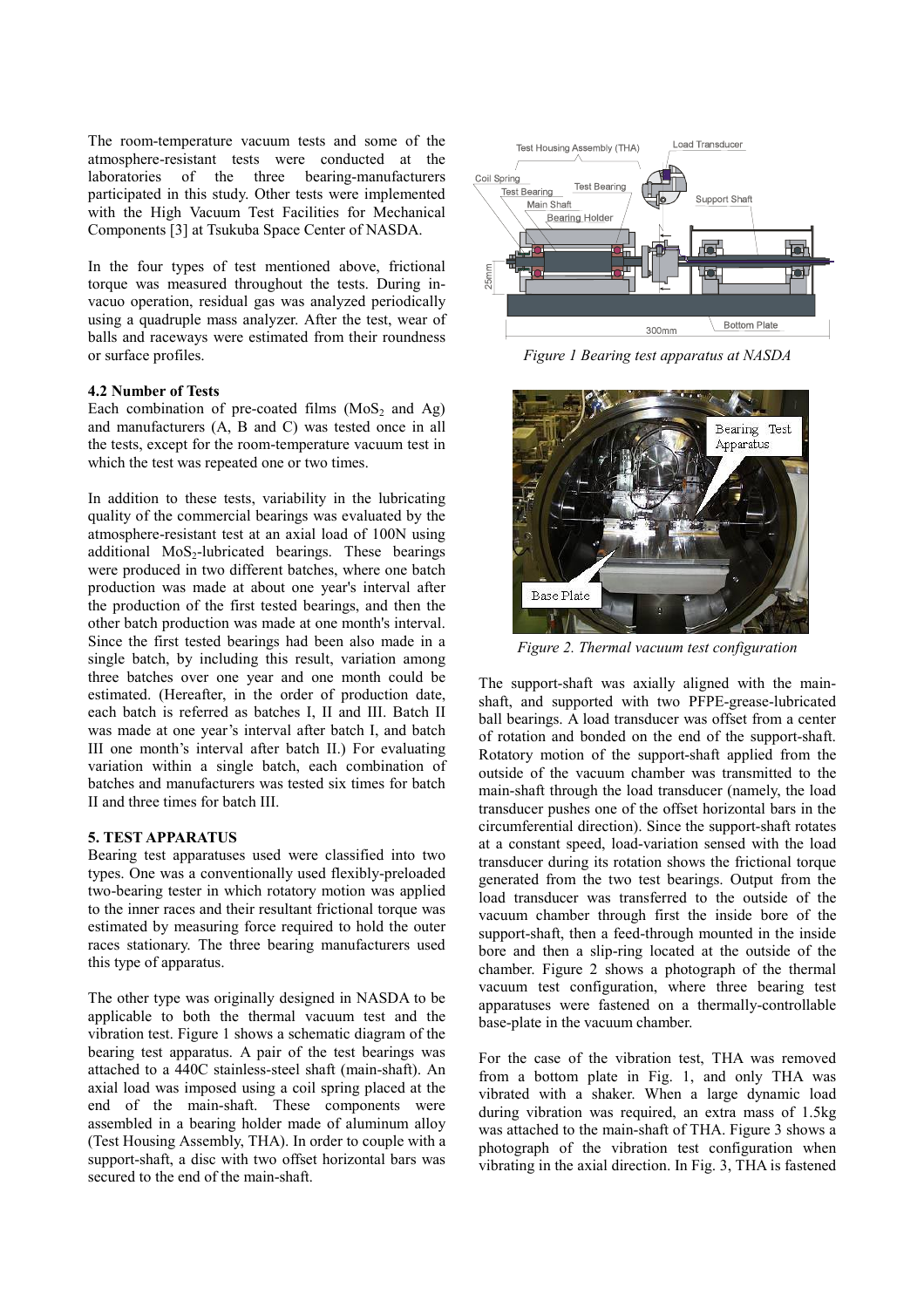The room-temperature vacuum tests and some of the atmosphere-resistant tests were conducted at the laboratories of the three bearing-manufacturers participated in this study. Other tests were implemented with the High Vacuum Test Facilities for Mechanical Components [3] at Tsukuba Space Center of NASDA.

In the four types of test mentioned above, frictional torque was measured throughout the tests. During invacuo operation, residual gas was analyzed periodically using a quadruple mass analyzer. After the test, wear of balls and raceways were estimated from their roundness or surface profiles.

### **4.2 Number of Tests**

Each combination of pre-coated films  $(MoS<sub>2</sub>$  and Ag) and manufacturers (A, B and C) was tested once in all the tests, except for the room-temperature vacuum test in which the test was repeated one or two times.

In addition to these tests, variability in the lubricating quality of the commercial bearings was evaluated by the atmosphere-resistant test at an axial load of 100N using additional  $MoS<sub>2</sub>$ -lubricated bearings. These bearings were produced in two different batches, where one batch production was made at about one year's interval after the production of the first tested bearings, and then the other batch production was made at one month's interval. Since the first tested bearings had been also made in a single batch, by including this result, variation among three batches over one year and one month could be estimated. (Hereafter, in the order of production date, each batch is referred as batches I, II and III. Batch II was made at one year's interval after batch I, and batch III one month's interval after batch II.) For evaluating variation within a single batch, each combination of batches and manufacturers was tested six times for batch II and three times for batch III.

### **5. TEST APPARATUS**

Bearing test apparatuses used were classified into two types. One was a conventionally used flexibly-preloaded two-bearing tester in which rotatory motion was applied to the inner races and their resultant frictional torque was estimated by measuring force required to hold the outer races stationary. The three bearing manufacturers used this type of apparatus.

The other type was originally designed in NASDA to be applicable to both the thermal vacuum test and the vibration test. Figure 1 shows a schematic diagram of the bearing test apparatus. A pair of the test bearings was attached to a 440C stainless-steel shaft (main-shaft). An axial load was imposed using a coil spring placed at the end of the main-shaft. These components were assembled in a bearing holder made of aluminum alloy (Test Housing Assembly, THA). In order to couple with a support-shaft, a disc with two offset horizontal bars was secured to the end of the main-shaft.



*Figure 1 Bearing test apparatus at NASDA*



*Figure 2. Thermal vacuum test configuration* 

The support-shaft was axially aligned with the mainshaft, and supported with two PFPE-grease-lubricated ball bearings. A load transducer was offset from a center of rotation and bonded on the end of the support-shaft. Rotatory motion of the support-shaft applied from the outside of the vacuum chamber was transmitted to the main-shaft through the load transducer (namely, the load transducer pushes one of the offset horizontal bars in the circumferential direction). Since the support-shaft rotates at a constant speed, load-variation sensed with the load transducer during its rotation shows the frictional torque generated from the two test bearings. Output from the load transducer was transferred to the outside of the vacuum chamber through first the inside bore of the support-shaft, then a feed-through mounted in the inside bore and then a slip-ring located at the outside of the chamber. Figure 2 shows a photograph of the thermal vacuum test configuration, where three bearing test apparatuses were fastened on a thermally-controllable base-plate in the vacuum chamber.

For the case of the vibration test, THA was removed from a bottom plate in Fig. 1, and only THA was vibrated with a shaker. When a large dynamic load during vibration was required, an extra mass of 1.5kg was attached to the main-shaft of THA. Figure 3 shows a photograph of the vibration test configuration when vibrating in the axial direction. In Fig. 3, THA is fastened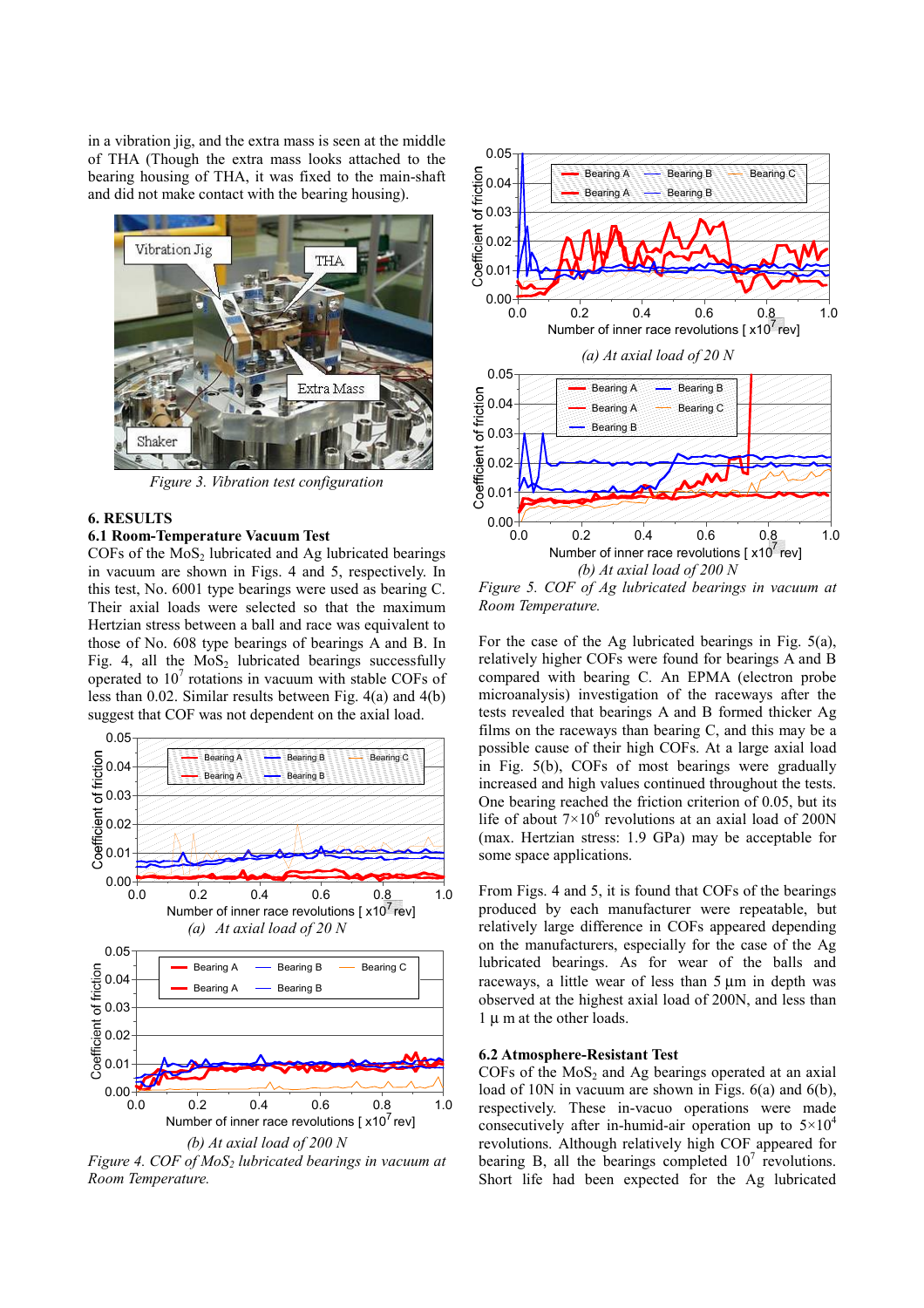in a vibration jig, and the extra mass is seen at the middle of THA (Though the extra mass looks attached to the bearing housing of THA, it was fixed to the main-shaft and did not make contact with the bearing housing).



*Figure 3. Vibration test configuration* 

#### **6. RESULTS**

# **6.1 Room-Temperature Vacuum Test**

 $COFs$  of the  $MoS<sub>2</sub>$  lubricated and Ag lubricated bearings in vacuum are shown in Figs. 4 and 5, respectively. In this test, No. 6001 type bearings were used as bearing C. Their axial loads were selected so that the maximum Hertzian stress between a ball and race was equivalent to those of No. 608 type bearings of bearings A and B. In Fig. 4, all the  $MoS<sub>2</sub>$  lubricated bearings successfully operated to  $10<sup>7</sup>$  rotations in vacuum with stable COFs of less than 0.02. Similar results between Fig. 4(a) and 4(b) suggest that COF was not dependent on the axial load.



*Figure 4. COF of MoS<sub>2</sub> lubricated bearings in vacuum at Room Temperature.* 



*Room Temperature.*

For the case of the Ag lubricated bearings in Fig. 5(a), relatively higher COFs were found for bearings A and B compared with bearing C. An EPMA (electron probe microanalysis) investigation of the raceways after the tests revealed that bearings A and B formed thicker Ag films on the raceways than bearing C, and this may be a possible cause of their high COFs. At a large axial load in Fig. 5(b), COFs of most bearings were gradually increased and high values continued throughout the tests. One bearing reached the friction criterion of 0.05, but its life of about  $7 \times 10^6$  revolutions at an axial load of 200N (max. Hertzian stress: 1.9 GPa) may be acceptable for some space applications.

From Figs. 4 and 5, it is found that COFs of the bearings produced by each manufacturer were repeatable, but relatively large difference in COFs appeared depending on the manufacturers, especially for the case of the Ag lubricated bearings. As for wear of the balls and raceways, a little wear of less than 5 um in depth was observed at the highest axial load of 200N, and less than 1 µ m at the other loads.

#### **6.2 Atmosphere-Resistant Test**

COFs of the  $MoS<sub>2</sub>$  and Ag bearings operated at an axial load of 10N in vacuum are shown in Figs. 6(a) and 6(b), respectively. These in-vacuo operations were made consecutively after in-humid-air operation up to  $5\times10^4$ revolutions. Although relatively high COF appeared for bearing B, all the bearings completed  $10<sup>7</sup>$  revolutions. Short life had been expected for the Ag lubricated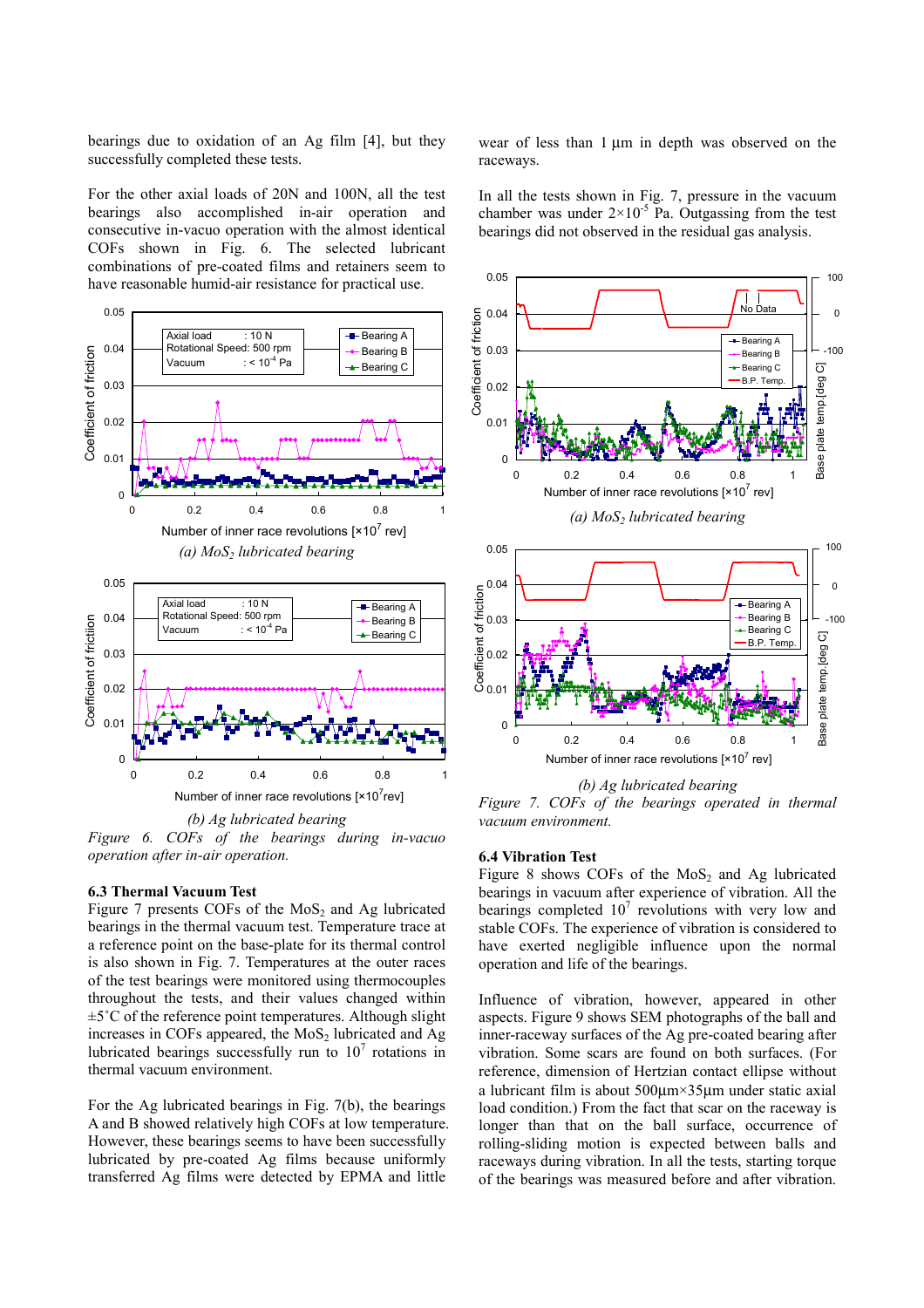bearings due to oxidation of an Ag film [4], but they successfully completed these tests.

For the other axial loads of 20N and 100N, all the test bearings also accomplished in-air operation and consecutive in-vacuo operation with the almost identical COFs shown in Fig. 6. The selected lubricant combinations of pre-coated films and retainers seem to have reasonable humid-air resistance for practical use.



*(b) Ag lubricated bearing Figure 6. COFs of the bearings during in-vacuo operation after in-air operation.*

#### **6.3 Thermal Vacuum Test**

Figure 7 presents COFs of the  $MoS<sub>2</sub>$  and Ag lubricated bearings in the thermal vacuum test. Temperature trace at a reference point on the base-plate for its thermal control is also shown in Fig. 7. Temperatures at the outer races of the test bearings were monitored using thermocouples throughout the tests, and their values changed within  $\pm 5^{\circ}$ C of the reference point temperatures. Although slight increases in COFs appeared, the  $MoS<sub>2</sub>$  lubricated and Ag lubricated bearings successfully run to  $10<sup>7</sup>$  rotations in thermal vacuum environment.

For the Ag lubricated bearings in Fig. 7(b), the bearings A and B showed relatively high COFs at low temperature. However, these bearings seems to have been successfully lubricated by pre-coated Ag films because uniformly transferred Ag films were detected by EPMA and little

wear of less than 1  $\mu$ m in depth was observed on the raceways.

In all the tests shown in Fig. 7, pressure in the vacuum chamber was under  $2 \times 10^{-5}$  Pa. Outgassing from the test bearings did not observed in the residual gas analysis.



*(b) Ag lubricated bearing Figure 7. COFs of the bearings operated in thermal vacuum environment.*

## **6.4 Vibration Test**

Figure 8 shows COFs of the  $MoS<sub>2</sub>$  and Ag lubricated bearings in vacuum after experience of vibration. All the bearings completed  $10^7$  revolutions with very low and stable COFs. The experience of vibration is considered to have exerted negligible influence upon the normal operation and life of the bearings.

Influence of vibration, however, appeared in other aspects. Figure 9 shows SEM photographs of the ball and inner-raceway surfaces of the Ag pre-coated bearing after vibration. Some scars are found on both surfaces. (For reference, dimension of Hertzian contact ellipse without a lubricant film is about 500µm×35µm under static axial load condition.) From the fact that scar on the raceway is longer than that on the ball surface, occurrence of rolling-sliding motion is expected between balls and raceways during vibration. In all the tests, starting torque of the bearings was measured before and after vibration.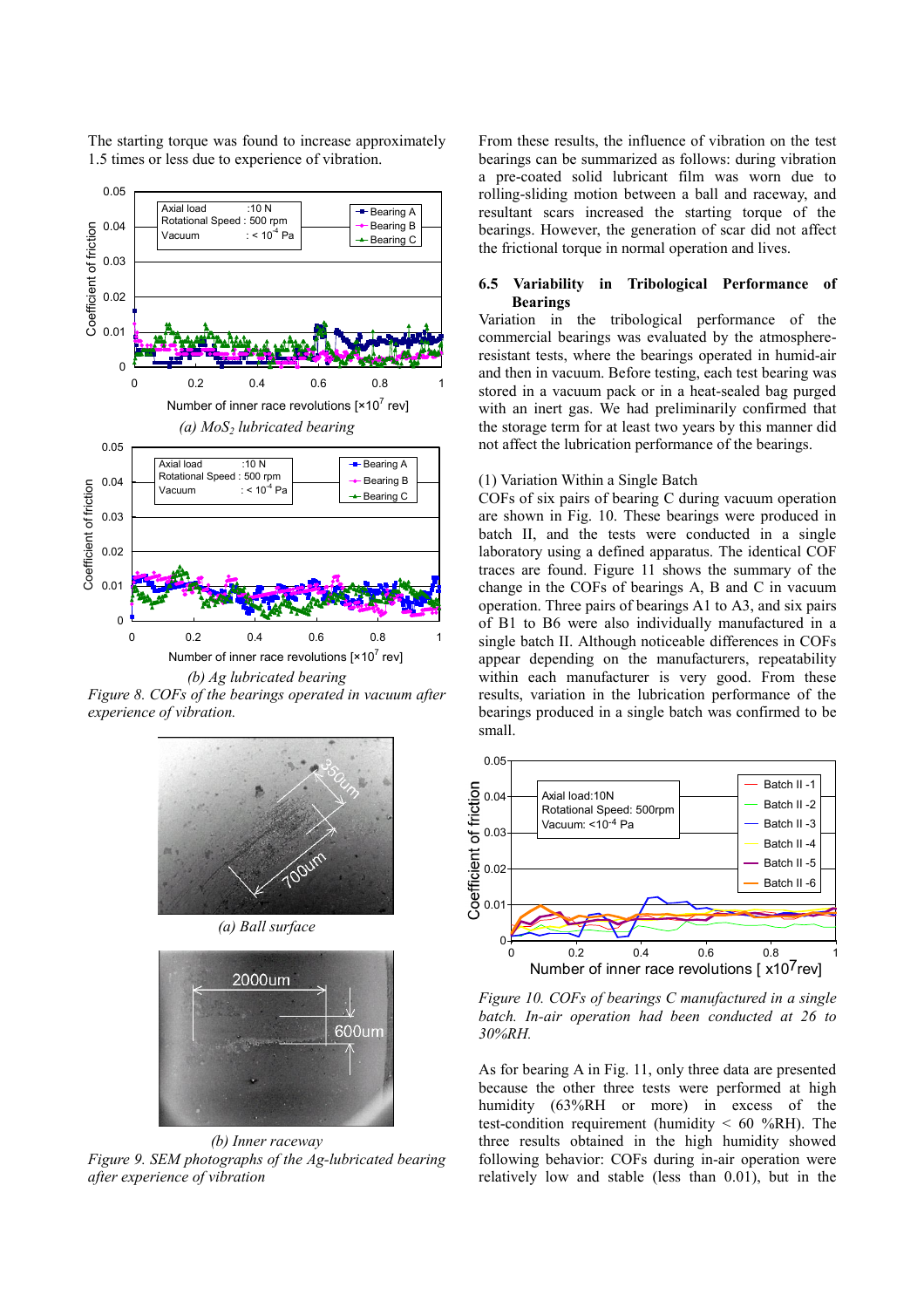

The starting torque was found to increase approximately 1.5 times or less due to experience of vibration.

*Figure 8. COFs of the bearings operated in vacuum after experience of vibration.*







*(b) Inner raceway Figure 9. SEM photographs of the Ag-lubricated bearing after experience of vibration* 

From these results, the influence of vibration on the test bearings can be summarized as follows: during vibration a pre-coated solid lubricant film was worn due to rolling-sliding motion between a ball and raceway, and resultant scars increased the starting torque of the bearings. However, the generation of scar did not affect the frictional torque in normal operation and lives.

# **6.5 Variability in Tribological Performance of Bearings**

Variation in the tribological performance of the commercial bearings was evaluated by the atmosphereresistant tests, where the bearings operated in humid-air and then in vacuum. Before testing, each test bearing was stored in a vacuum pack or in a heat-sealed bag purged with an inert gas. We had preliminarily confirmed that the storage term for at least two years by this manner did not affect the lubrication performance of the bearings.

### (1) Variation Within a Single Batch

COFs of six pairs of bearing C during vacuum operation are shown in Fig. 10. These bearings were produced in batch II, and the tests were conducted in a single laboratory using a defined apparatus. The identical COF traces are found. Figure 11 shows the summary of the change in the COFs of bearings A, B and C in vacuum operation. Three pairs of bearings A1 to A3, and six pairs of B1 to B6 were also individually manufactured in a single batch II. Although noticeable differences in COFs appear depending on the manufacturers, repeatability within each manufacturer is very good. From these results, variation in the lubrication performance of the bearings produced in a single batch was confirmed to be small.



*Figure 10. COFs of bearings C manufactured in a single batch. In-air operation had been conducted at 26 to 30%RH.* 

As for bearing A in Fig. 11, only three data are presented because the other three tests were performed at high humidity (63%RH or more) in excess of the test-condition requirement (humidity  $\leq 60$  %RH). The three results obtained in the high humidity showed following behavior: COFs during in-air operation were relatively low and stable (less than 0.01), but in the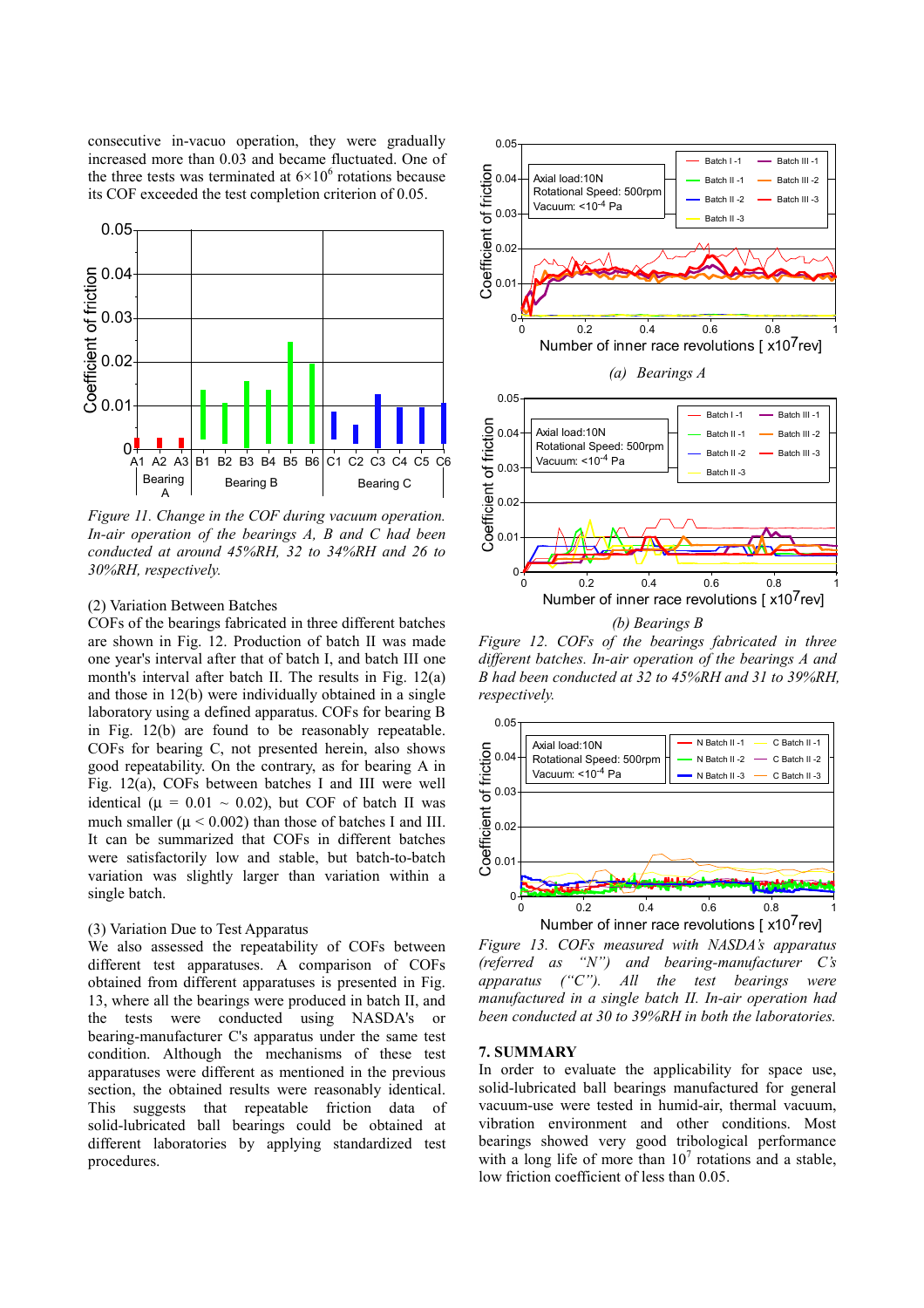consecutive in-vacuo operation, they were gradually increased more than 0.03 and became fluctuated. One of the three tests was terminated at  $6 \times 10^6$  rotations because its COF exceeded the test completion criterion of 0.05.



*Figure 11. Change in the COF during vacuum operation. In-air operation of the bearings A, B and C had been conducted at around 45%RH, 32 to 34%RH and 26 to 30%RH, respectively.* 

#### (2) Variation Between Batches

COFs of the bearings fabricated in three different batches are shown in Fig. 12. Production of batch II was made one year's interval after that of batch I, and batch III one month's interval after batch II. The results in Fig. 12(a) and those in 12(b) were individually obtained in a single laboratory using a defined apparatus. COFs for bearing B in Fig. 12(b) are found to be reasonably repeatable. COFs for bearing C, not presented herein, also shows good repeatability. On the contrary, as for bearing A in Fig. 12(a), COFs between batches I and III were well identical ( $\mu$  = 0.01 ~ 0.02), but COF of batch II was much smaller ( $\mu$  < 0.002) than those of batches I and III. It can be summarized that COFs in different batches were satisfactorily low and stable, but batch-to-batch variation was slightly larger than variation within a single batch.

# (3) Variation Due to Test Apparatus

We also assessed the repeatability of COFs between different test apparatuses. A comparison of COFs obtained from different apparatuses is presented in Fig. 13, where all the bearings were produced in batch II, and the tests were conducted using NASDA's or bearing-manufacturer C's apparatus under the same test condition. Although the mechanisms of these test apparatuses were different as mentioned in the previous section, the obtained results were reasonably identical. This suggests that repeatable friction data of solid-lubricated ball bearings could be obtained at different laboratories by applying standardized test procedures.



*Figure 12. COFs of the bearings fabricated in three different batches. In-air operation of the bearings A and B had been conducted at 32 to 45%RH and 31 to 39%RH, respectively.*



*Figure 13. COFs measured with NASDA's apparatus (referred as "N") and bearing-manufacturer C's apparatus ("C"). All the test bearings were manufactured in a single batch II. In-air operation had been conducted at 30 to 39%RH in both the laboratories.* 

# **7. SUMMARY**

In order to evaluate the applicability for space use, solid-lubricated ball bearings manufactured for general vacuum-use were tested in humid-air, thermal vacuum, vibration environment and other conditions. Most bearings showed very good tribological performance with a long life of more than  $10^7$  rotations and a stable, low friction coefficient of less than 0.05.